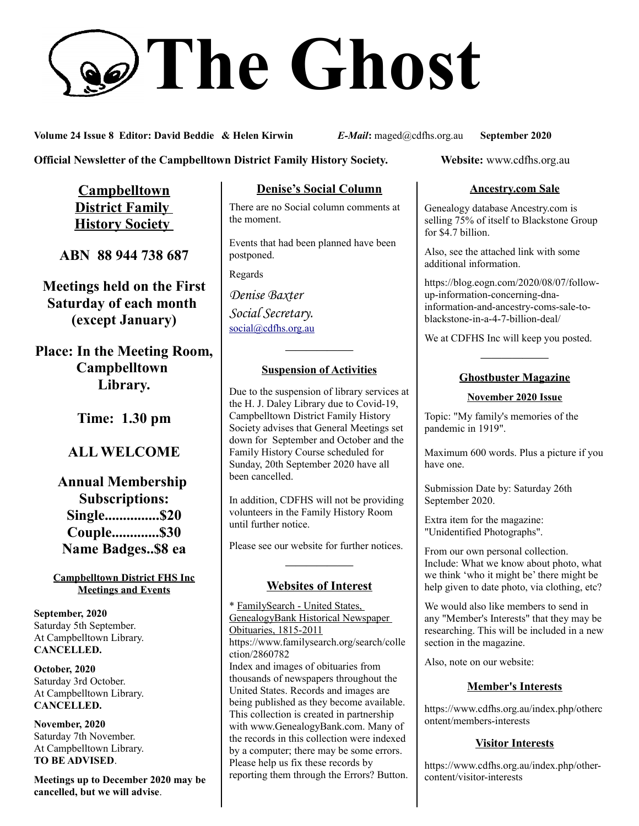# **The Ghost**

**Volume 24 Issue 8 Editor: David Beddie & Helen Kirwin** *E-Mail***:** maged@cdfhs.org.au **September 2020**

**Official Newsletter of the Campbelltown District Family History Society. Website: www.cdfhs.org.au** 

**Campbelltown District Family History Society** 

**ABN 88 944 738 687**

**Meetings held on the First Saturday of each month (except January)**

**Place: In the Meeting Room, Campbelltown Library.**

**Time: 1.30 pm**

# **ALL WELCOME**

**Annual Membership Subscriptions: Single...............\$20 Couple.............\$30 Name Badges..\$8 ea**

#### **Campbelltown District FHS Inc Meetings and Events**

**September, 2020** Saturday 5th September. At Campbelltown Library. **CANCELLED.**

**October, 2020** Saturday 3rd October. At Campbelltown Library. **CANCELLED.**

**November, 2020** Saturday 7th November. At Campbelltown Library. **TO BE ADVISED**.

**Meetings up to December 2020 may be cancelled, but we will advise**.

## **Denise's Social Column**

There are no Social column comments at the moment.

Events that had been planned have been postponed.

Regards

*Denise Baxter Social Secretary.* [social@cdfhs.org.au](mailto:social@cdfhs.org.au)

# **——————– Suspension of Activities**

Due to the suspension of library services at the H. J. Daley Library due to Covid-19, Campbelltown District Family History Society advises that General Meetings set down for September and October and the Family History Course scheduled for Sunday, 20th September 2020 have all been cancelled.

In addition, CDFHS will not be providing volunteers in the Family History Room until further notice.

Please see our website for further notices.

# **——————– Websites of Interest**

\* FamilySearch - United States, GenealogyBank Historical Newspaper Obituaries, 1815-2011 https://www.familysearch.org/search/colle ction/2860782 Index and images of obituaries from thousands of newspapers throughout the United States. Records and images are being published as they become available. This collection is created in partnership with www.GenealogyBank.com. Many of the records in this collection were indexed by a computer; there may be some errors. Please help us fix these records by reporting them through the Errors? Button.

### **Ancestry.com Sale**

Genealogy database Ancestry.com is selling 75% of itself to Blackstone Group for \$4.7 billion.

Also, see the attached link with some additional information.

https://blog.eogn.com/2020/08/07/followup-information-concerning-dnainformation-and-ancestry-coms-sale-toblackstone-in-a-4-7-billion-deal/

We at CDFHS Inc will keep you posted.

# **——————– Ghostbuster Magazine**

#### **November 2020 Issue**

Topic: "My family's memories of the pandemic in 1919".

Maximum 600 words. Plus a picture if you have one.

Submission Date by: Saturday 26th September 2020.

Extra item for the magazine: "Unidentified Photographs".

From our own personal collection. Include: What we know about photo, what we think 'who it might be' there might be help given to date photo, via clothing, etc?

We would also like members to send in any "Member's Interests" that they may be researching. This will be included in a new section in the magazine.

Also, note on our website:

## **Member's Interests**

https://www.cdfhs.org.au/index.php/otherc ontent/members-interests

## **Visitor Interests**

https://www.cdfhs.org.au/index.php/othercontent/visitor-interests